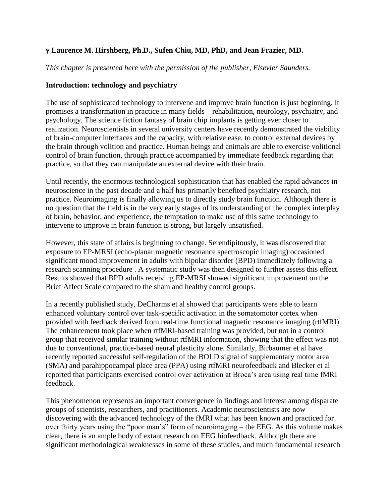# **y Laurence M. Hirshberg, Ph.D., Sufen Chiu, MD, PhD, and Jean Frazier, MD.**

*This chapter is presented here with the permission of the publisher, Elsevier Saunders.*

### **Introduction: technology and psychiatry**

The use of sophisticated technology to intervene and improve brain function is just beginning. It promises a transformation in practice in many fields – rehabilitation, neurology, psychiatry, and psychology. The science fiction fantasy of brain chip implants is getting ever closer to realization. Neuroscientists in several university centers have recently demonstrated the viability of brain-computer interfaces and the capacity, with relative ease, to control external devices by the brain through volition and practice. Human beings and animals are able to exercise volitional control of brain function, through practice accompanied by immediate feedback regarding that practice, so that they can manipulate an external device with their brain.

Until recently, the enormous technological sophistication that has enabled the rapid advances in neuroscience in the past decade and a half has primarily benefited psychiatry research, not practice. Neuroimaging is finally allowing us to directly study brain function. Although there is no question that the field is in the very early stages of its understanding of the complex interplay of brain, behavior, and experience, the temptation to make use of this same technology to intervene to improve in brain function is strong, but largely unsatisfied.

However, this state of affairs is beginning to change. Serendipitously, it was discovered that exposure to EP-MRSI (echo-planar magnetic resonance spectroscopic imaging) occasioned significant mood improvement in adults with bipolar disorder (BPD) immediately following a research scanning procedure . A systematic study was then designed to further assess this effect. Results showed that BPD adults receiving EP-MRSI showed significant improvement on the Brief Affect Scale compared to the sham and healthy control groups.

In a recently published study, DeCharms et al showed that participants were able to learn enhanced voluntary control over task-specific activation in the somatomotor cortex when provided with feedback derived from real-time functional magnetic resonance imaging (rtfMRI) . The enhancement took place when rtfMRI-based training was provided, but not in a control group that received similar training without rtfMRI information, showing that the effect was not due to conventional, practice-based neural plasticity alone. Similarly, Birbaumer et al have recently reported successful self-regulation of the BOLD signal of supplementary motor area (SMA) and parahippocampal place area (PPA) using rtfMRI neurofeedback and Blecker et al reported that participants exercised control over activation at Broca's area using real time fMRI feedback.

This phenomenon represents an important convergence in findings and interest among disparate groups of scientists, researchers, and practitioners. Academic neuroscientists are now discovering with the advanced technology of the fMRI what has been known and practiced for over thirty years using the "poor man's" form of neuroimaging – the EEG. As this volume makes clear, there is an ample body of extant research on EEG biofeedback. Although there are significant methodological weaknesses in some of these studies, and much fundamental research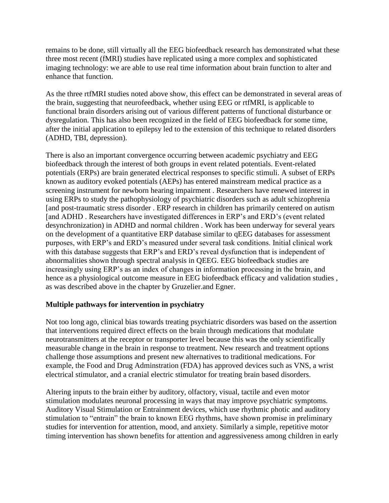remains to be done, still virtually all the EEG biofeedback research has demonstrated what these three most recent (fMRI) studies have replicated using a more complex and sophisticated imaging technology: we are able to use real time information about brain function to alter and enhance that function.

As the three rtfMRI studies noted above show, this effect can be demonstrated in several areas of the brain, suggesting that neurofeedback, whether using EEG or rtfMRI, is applicable to functional brain disorders arising out of various different patterns of functional disturbance or dysregulation. This has also been recognized in the field of EEG biofeedback for some time, after the initial application to epilepsy led to the extension of this technique to related disorders (ADHD, TBI, depression).

There is also an important convergence occurring between academic psychiatry and EEG biofeedback through the interest of both groups in event related potentials. Event-related potentials (ERPs) are brain generated electrical responses to specific stimuli. A subset of ERPs known as auditory evoked potentials (AEPs) has entered mainstream medical practice as a screening instrument for newborn hearing impairment . Researchers have renewed interest in using ERPs to study the pathophysiology of psychiatric disorders such as adult schizophrenia [and post-traumatic stress disorder . ERP research in children has primarily centered on autism [and ADHD . Researchers have investigated differences in ERP's and ERD's (event related desynchronization) in ADHD and normal children . Work has been underway for several years on the development of a quantitative ERP database similar to qEEG databases for assessment purposes, with ERP's and ERD's measured under several task conditions. Initial clinical work with this database suggests that ERP's and ERD's reveal dysfunction that is independent of abnormalities shown through spectral analysis in QEEG. EEG biofeedback studies are increasingly using ERP's as an index of changes in information processing in the brain, and hence as a physiological outcome measure in EEG biofeedback efficacy and validation studies , as was described above in the chapter by Gruzelier.and Egner.

## **Multiple pathways for intervention in psychiatry**

Not too long ago, clinical bias towards treating psychiatric disorders was based on the assertion that interventions required direct effects on the brain through medications that modulate neurotransmitters at the receptor or transporter level because this was the only scientifically measurable change in the brain in response to treatment. New research and treatment options challenge those assumptions and present new alternatives to traditional medications. For example, the Food and Drug Adminstration (FDA) has approved devices such as VNS, a wrist electrical stimulator, and a cranial electric stimulator for treating brain based disorders.

Altering inputs to the brain either by auditory, olfactory, visual, tactile and even motor stimulation modulates neuronal processing in ways that may improve psychiatric symptoms. Auditory Visual Stimulation or Entrainment devices, which use rhythmic photic and auditory stimulation to "entrain" the brain to known EEG rhythms, have shown promise in preliminary studies for intervention for attention, mood, and anxiety. Similarly a simple, repetitive motor timing intervention has shown benefits for attention and aggressiveness among children in early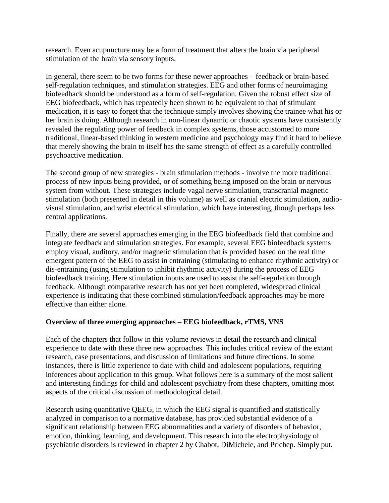research. Even acupuncture may be a form of treatment that alters the brain via peripheral stimulation of the brain via sensory inputs.

In general, there seem to be two forms for these newer approaches – feedback or brain-based self-regulation techniques, and stimulation strategies. EEG and other forms of neuroimaging biofeedback should be understood as a form of self-regulation. Given the robust effect size of EEG biofeedback, which has repeatedly been shown to be equivalent to that of stimulant medication, it is easy to forget that the technique simply involves showing the trainee what his or her brain is doing. Although research in non-linear dynamic or chaotic systems have consistently revealed the regulating power of feedback in complex systems, those accustomed to more traditional, linear-based thinking in western medicine and psychology may find it hard to believe that merely showing the brain to itself has the same strength of effect as a carefully controlled psychoactive medication.

The second group of new strategies - brain stimulation methods - involve the more traditional process of new inputs being provided, or of something being imposed on the brain or nervous system from without. These strategies include vagal nerve stimulation, transcranial magnetic stimulation (both presented in detail in this volume) as well as cranial electric stimulation, audiovisual stimulation, and wrist electrical stimulation, which have interesting, though perhaps less central applications.

Finally, there are several approaches emerging in the EEG biofeedback field that combine and integrate feedback and stimulation strategies. For example, several EEG biofeedback systems employ visual, auditory, and/or magnetic stimulation that is provided based on the real time emergent pattern of the EEG to assist in entraining (stimulating to enhance rhythmic activity) or dis-entraining (using stimulation to inhibit rhythmic activity) during the process of EEG biofeedback training. Here stimulation inputs are used to assist the self-regulation through feedback. Although comparative research has not yet been completed, widespread clinical experience is indicating that these combined stimulation/feedback approaches may be more effective than either alone.

## **Overview of three emerging approaches – EEG biofeedback, rTMS, VNS**

Each of the chapters that follow in this volume reviews in detail the research and clinical experience to date with these three new approaches. This includes critical review of the extant research, case presentations, and discussion of limitations and future directions. In some instances, there is little experience to date with child and adolescent populations, requiring inferences about application to this group. What follows here is a summary of the most salient and interesting findings for child and adolescent psychiatry from these chapters, omitting most aspects of the critical discussion of methodological detail.

Research using quantitative QEEG, in which the EEG signal is quantified and statistically analyzed in comparison to a normative database, has provided substantial evidence of a significant relationship between EEG abnormalities and a variety of disorders of behavior, emotion, thinking, learning, and development. This research into the electrophysiology of psychiatric disorders is reviewed in chapter 2 by Chabot, DiMichele, and Prichep. Simply put,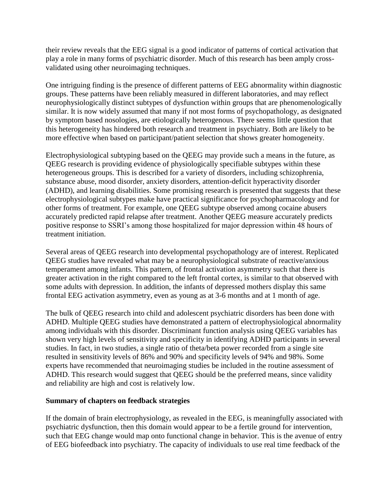their review reveals that the EEG signal is a good indicator of patterns of cortical activation that play a role in many forms of psychiatric disorder. Much of this research has been amply crossvalidated using other neuroimaging techniques.

One intriguing finding is the presence of different patterns of EEG abnormality within diagnostic groups. These patterns have been reliably measured in different laboratories, and may reflect neurophysiologically distinct subtypes of dysfunction within groups that are phenomenologically similar. It is now widely assumed that many if not most forms of psychopathology, as designated by symptom based nosologies, are etiologically heterogenous. There seems little question that this heterogeneity has hindered both research and treatment in psychiatry. Both are likely to be more effective when based on participant/patient selection that shows greater homogeneity.

Electrophysiological subtyping based on the QEEG may provide such a means in the future, as QEEG research is providing evidence of physiologically specifiable subtypes within these heterogeneous groups. This is described for a variety of disorders, including schizophrenia, substance abuse, mood disorder, anxiety disorders, attention-deficit hyperactivity disorder (ADHD), and learning disabilities. Some promising research is presented that suggests that these electrophysiological subtypes make have practical significance for psychopharmacology and for other forms of treatment. For example, one QEEG subtype observed among cocaine abusers accurately predicted rapid relapse after treatment. Another QEEG measure accurately predicts positive response to SSRI's among those hospitalized for major depression within 48 hours of treatment initiation.

Several areas of QEEG research into developmental psychopathology are of interest. Replicated QEEG studies have revealed what may be a neurophysiological substrate of reactive/anxious temperament among infants. This pattern, of frontal activation asymmetry such that there is greater activation in the right compared to the left frontal cortex, is similar to that observed with some adults with depression. In addition, the infants of depressed mothers display this same frontal EEG activation asymmetry, even as young as at 3-6 months and at 1 month of age.

The bulk of QEEG research into child and adolescent psychiatric disorders has been done with ADHD. Multiple QEEG studies have demonstrated a pattern of electrophysiological abnormality among individuals with this disorder. Discriminant function analysis using QEEG variables has shown very high levels of sensitivity and specificity in identifying ADHD participants in several studies. In fact, in two studies, a single ratio of theta/beta power recorded from a single site resulted in sensitivity levels of 86% and 90% and specificity levels of 94% and 98%. Some experts have recommended that neuroimaging studies be included in the routine assessment of ADHD. This research would suggest that QEEG should be the preferred means, since validity and reliability are high and cost is relatively low.

#### **Summary of chapters on feedback strategies**

If the domain of brain electrophysiology, as revealed in the EEG, is meaningfully associated with psychiatric dysfunction, then this domain would appear to be a fertile ground for intervention, such that EEG change would map onto functional change in behavior. This is the avenue of entry of EEG biofeedback into psychiatry. The capacity of individuals to use real time feedback of the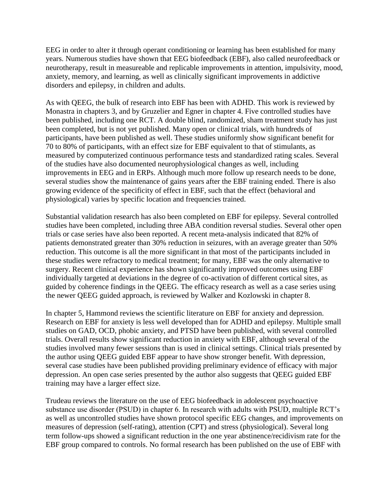EEG in order to alter it through operant conditioning or learning has been established for many years. Numerous studies have shown that EEG biofeedback (EBF), also called neurofeedback or neurotherapy, result in measureable and replicable improvements in attention, impulsivity, mood, anxiety, memory, and learning, as well as clinically significant improvements in addictive disorders and epilepsy, in children and adults.

As with QEEG, the bulk of research into EBF has been with ADHD. This work is reviewed by Monastra in chapters 3, and by Gruzelier and Egner in chapter 4. Five controlled studies have been published, including one RCT. A double blind, randomized, sham treatment study has just been completed, but is not yet published. Many open or clinical trials, with hundreds of participants, have been published as well. These studies uniformly show significant benefit for 70 to 80% of participants, with an effect size for EBF equivalent to that of stimulants, as measured by computerized continuous performance tests and standardized rating scales. Several of the studies have also documented neurophysiological changes as well, including improvements in EEG and in ERPs. Although much more follow up research needs to be done, several studies show the maintenance of gains years after the EBF training ended. There is also growing evidence of the specificity of effect in EBF, such that the effect (behavioral and physiological) varies by specific location and frequencies trained.

Substantial validation research has also been completed on EBF for epilepsy. Several controlled studies have been completed, including three ABA condition reversal studies. Several other open trials or case series have also been reported. A recent meta-analysis indicated that 82% of patients demonstrated greater than 30% reduction in seizures, with an average greater than 50% reduction. This outcome is all the more significant in that most of the participants included in these studies were refractory to medical treatment; for many, EBF was the only alternative to surgery. Recent clinical experience has shown significantly improved outcomes using EBF individually targeted at deviations in the degree of co-activation of different cortical sites, as guided by coherence findings in the QEEG. The efficacy research as well as a case series using the newer QEEG guided approach, is reviewed by Walker and Kozlowski in chapter 8.

In chapter 5, Hammond reviews the scientific literature on EBF for anxiety and depression. Research on EBF for anxiety is less well developed than for ADHD and epilepsy. Multiple small studies on GAD, OCD, phobic anxiety, and PTSD have been published, with several controlled trials. Overall results show significant reduction in anxiety with EBF, although several of the studies involved many fewer sessions than is used in clinical settings. Clinical trials presented by the author using QEEG guided EBF appear to have show stronger benefit. With depression, several case studies have been published providing preliminary evidence of efficacy with major depression. An open case series presented by the author also suggests that QEEG guided EBF training may have a larger effect size.

Trudeau reviews the literature on the use of EEG biofeedback in adolescent psychoactive substance use disorder (PSUD) in chapter 6. In research with adults with PSUD, multiple RCT's as well as uncontrolled studies have shown protocol specific EEG changes, and improvements on measures of depression (self-rating), attention (CPT) and stress (physiological). Several long term follow-ups showed a significant reduction in the one year abstinence/recidivism rate for the EBF group compared to controls. No formal research has been published on the use of EBF with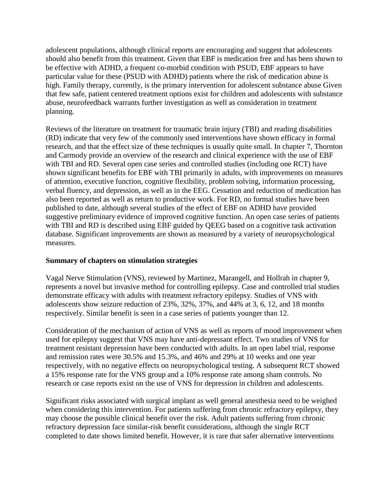adolescent populations, although clinical reports are encouraging and suggest that adolescents should also benefit from this treatment. Given that EBF is medication free and has been shown to be effective with ADHD, a frequent co-morbid condition with PSUD, EBF appears to have particular value for these (PSUD with ADHD) patients where the risk of medication abuse is high. Family therapy, currently, is the primary intervention for adolescent substance abuse Given that few safe, patient centered treatment options exist for children and adolescents with substance abuse, neurofeedback warrants further investigation as well as consideration in treatment planning.

Reviews of the literature on treatment for traumatic brain injury (TBI) and reading disabilities (RD) indicate that very few of the commonly used interventions have shown efficacy in formal research, and that the effect size of these techniques is usually quite small. In chapter 7, Thornton and Carmody provide an overview of the research and clinical experience with the use of EBF with TBI and RD. Several open case series and controlled studies (including one RCT) have shown significant benefits for EBF with TBI primarily in adults, with improvements on measures of attention, executive function, cognitive flexibility, problem solving, information processing, verbal fluency, and depression, as well as in the EEG. Cessation and reduction of medication has also been reported as well as return to productive work. For RD, no formal studies have been published to date, although several studies of the effect of EBF on ADHD have provided suggestive preliminary evidence of improved cognitive function. An open case series of patients with TBI and RD is described using EBF guided by QEEG based on a cognitive task activation database. Significant improvements are shown as measured by a variety of neuropsychological measures.

## **Summary of chapters on stimulation strategies**

Vagal Nerve Stimulation (VNS), reviewed by Martinez, Marangell, and Hollrah in chapter 9, represents a novel but invasive method for controlling epilepsy. Case and controlled trial studies demonstrate efficacy with adults with treatment refractory epilepsy. Studies of VNS with adolescents show seizure reduction of 23%, 32%, 37%, and 44% at 3, 6, 12, and 18 months respectively. Similar benefit is seen in a case series of patients younger than 12.

Consideration of the mechanism of action of VNS as well as reports of mood improvement when used for epilepsy suggest that VNS may have anti-depressant effect. Two studies of VNS for treatment resistant depression have been conducted with adults. In an open label trial, response and remission rates were 30.5% and 15.3%, and 46% and 29% at 10 weeks and one year respectively, with no negative effects on neuropsychological testing. A subsequent RCT showed a 15% response rate for the VNS group and a 10% response rate among sham controls. No research or case reports exist on the use of VNS for depression in children and adolescents.

Significant risks associated with surgical implant as well general anesthesia need to be weighed when considering this intervention. For patients suffering from chronic refractory epilepsy, they may choose the possible clinical benefit over the risk. Adult patients suffering from chronic refractory depression face similar-risk benefit considerations, although the single RCT completed to date shows limited benefit. However, it is rare that safer alternative interventions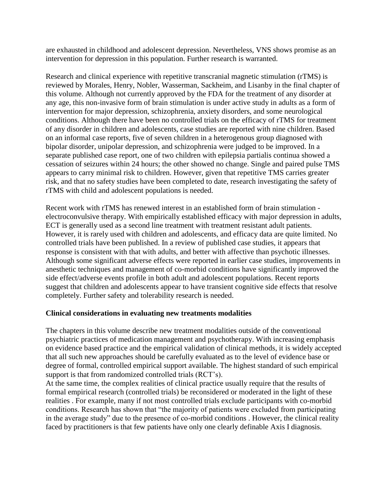are exhausted in childhood and adolescent depression. Nevertheless, VNS shows promise as an intervention for depression in this population. Further research is warranted.

Research and clinical experience with repetitive transcranial magnetic stimulation (rTMS) is reviewed by Morales, Henry, Nobler, Wasserman, Sackheim, and Lisanby in the final chapter of this volume. Although not currently approved by the FDA for the treatment of any disorder at any age, this non-invasive form of brain stimulation is under active study in adults as a form of intervention for major depression, schizophrenia, anxiety disorders, and some neurological conditions. Although there have been no controlled trials on the efficacy of rTMS for treatment of any disorder in children and adolescents, case studies are reported with nine children. Based on an informal case reports, five of seven children in a heterogenous group diagnosed with bipolar disorder, unipolar depression, and schizophrenia were judged to be improved. In a separate published case report, one of two children with epilepsia partialis continua showed a cessation of seizures within 24 hours; the other showed no change. Single and paired pulse TMS appears to carry minimal risk to children. However, given that repetitive TMS carries greater risk, and that no safety studies have been completed to date, research investigating the safety of rTMS with child and adolescent populations is needed.

Recent work with rTMS has renewed interest in an established form of brain stimulation electroconvulsive therapy. With empirically established efficacy with major depression in adults, ECT is generally used as a second line treatment with treatment resistant adult patients. However, it is rarely used with children and adolescents, and efficacy data are quite limited. No controlled trials have been published. In a review of published case studies, it appears that response is consistent with that with adults, and better with affective than psychotic illnesses. Although some significant adverse effects were reported in earlier case studies, improvements in anesthetic techniques and management of co-morbid conditions have significantly improved the side effect/adverse events profile in both adult and adolescent populations. Recent reports suggest that children and adolescents appear to have transient cognitive side effects that resolve completely. Further safety and tolerability research is needed.

#### **Clinical considerations in evaluating new treatments modalities**

The chapters in this volume describe new treatment modalities outside of the conventional psychiatric practices of medication management and psychotherapy. With increasing emphasis on evidence based practice and the empirical validation of clinical methods, it is widely accepted that all such new approaches should be carefully evaluated as to the level of evidence base or degree of formal, controlled empirical support available. The highest standard of such empirical support is that from randomized controlled trials (RCT's).

At the same time, the complex realities of clinical practice usually require that the results of formal empirical research (controlled trials) be reconsidered or moderated in the light of these realities . For example, many if not most controlled trials exclude participants with co-morbid conditions. Research has shown that "the majority of patients were excluded from participating in the average study" due to the presence of co-morbid conditions . However, the clinical reality faced by practitioners is that few patients have only one clearly definable Axis I diagnosis.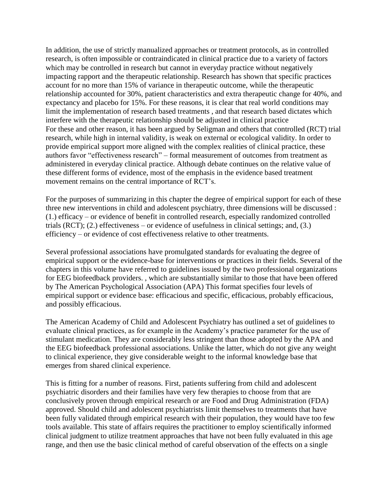In addition, the use of strictly manualized approaches or treatment protocols, as in controlled research, is often impossible or contraindicated in clinical practice due to a variety of factors which may be controlled in research but cannot in everyday practice without negatively impacting rapport and the therapeutic relationship. Research has shown that specific practices account for no more than 15% of variance in therapeutic outcome, while the therapeutic relationship accounted for 30%, patient characteristics and extra therapeutic change for 40%, and expectancy and placebo for 15%. For these reasons, it is clear that real world conditions may limit the implementation of research based treatments , and that research based dictates which interfere with the therapeutic relationship should be adjusted in clinical practice For these and other reason, it has been argued by Seligman and others that controlled (RCT) trial research, while high in internal validity, is weak on external or ecological validity. In order to provide empirical support more aligned with the complex realities of clinical practice, these authors favor "effectiveness research" – formal measurement of outcomes from treatment as administered in everyday clinical practice. Although debate continues on the relative value of these different forms of evidence, most of the emphasis in the evidence based treatment movement remains on the central importance of RCT's.

For the purposes of summarizing in this chapter the degree of empirical support for each of these three new interventions in child and adolescent psychiatry, three dimensions will be discussed : (1.) efficacy – or evidence of benefit in controlled research, especially randomized controlled trials (RCT); (2.) effectiveness – or evidence of usefulness in clinical settings; and, (3.) efficiency – or evidence of cost effectiveness relative to other treatments.

Several professional associations have promulgated standards for evaluating the degree of empirical support or the evidence-base for interventions or practices in their fields. Several of the chapters in this volume have referred to guidelines issued by the two professional organizations for EEG biofeedback providers. , which are substantially similar to those that have been offered by The American Psychological Association (APA) This format specifies four levels of empirical support or evidence base: efficacious and specific, efficacious, probably efficacious, and possibly efficacious.

The American Academy of Child and Adolescent Psychiatry has outlined a set of guidelines to evaluate clinical practices, as for example in the Academy's practice parameter for the use of stimulant medication. They are considerably less stringent than those adopted by the APA and the EEG biofeedback professional associations. Unlike the latter, which do not give any weight to clinical experience, they give considerable weight to the informal knowledge base that emerges from shared clinical experience.

This is fitting for a number of reasons. First, patients suffering from child and adolescent psychiatric disorders and their families have very few therapies to choose from that are conclusively proven through empirical research or are Food and Drug Administration (FDA) approved. Should child and adolescent psychiatrists limit themselves to treatments that have been fully validated through empirical research with their population, they would have too few tools available. This state of affairs requires the practitioner to employ scientifically informed clinical judgment to utilize treatment approaches that have not been fully evaluated in this age range, and then use the basic clinical method of careful observation of the effects on a single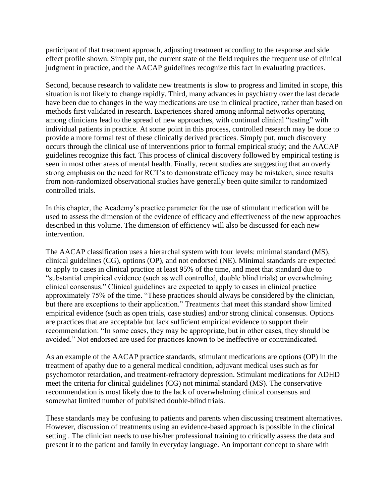participant of that treatment approach, adjusting treatment according to the response and side effect profile shown. Simply put, the current state of the field requires the frequent use of clinical judgment in practice, and the AACAP guidelines recognize this fact in evaluating practices.

Second, because research to validate new treatments is slow to progress and limited in scope, this situation is not likely to change rapidly. Third, many advances in psychiatry over the last decade have been due to changes in the way medications are use in clinical practice, rather than based on methods first validated in research. Experiences shared among informal networks operating among clinicians lead to the spread of new approaches, with continual clinical "testing" with individual patients in practice. At some point in this process, controlled research may be done to provide a more formal test of these clinically derived practices. Simply put, much discovery occurs through the clinical use of interventions prior to formal empirical study; and the AACAP guidelines recognize this fact. This process of clinical discovery followed by empirical testing is seen in most other areas of mental health. Finally, recent studies are suggesting that an overly strong emphasis on the need for RCT's to demonstrate efficacy may be mistaken, since results from non-randomized observational studies have generally been quite similar to randomized controlled trials.

In this chapter, the Academy's practice parameter for the use of stimulant medication will be used to assess the dimension of the evidence of efficacy and effectiveness of the new approaches described in this volume. The dimension of efficiency will also be discussed for each new intervention.

The AACAP classification uses a hierarchal system with four levels: minimal standard (MS), clinical guidelines (CG), options (OP), and not endorsed (NE). Minimal standards are expected to apply to cases in clinical practice at least 95% of the time, and meet that standard due to "substantial empirical evidence (such as well controlled, double blind trials) or overwhelming clinical consensus." Clinical guidelines are expected to apply to cases in clinical practice approximately 75% of the time. "These practices should always be considered by the clinician, but there are exceptions to their application." Treatments that meet this standard show limited empirical evidence (such as open trials, case studies) and/or strong clinical consensus. Options are practices that are acceptable but lack sufficient empirical evidence to support their recommendation: "In some cases, they may be appropriate, but in other cases, they should be avoided." Not endorsed are used for practices known to be ineffective or contraindicated.

As an example of the AACAP practice standards, stimulant medications are options (OP) in the treatment of apathy due to a general medical condition, adjuvant medical uses such as for psychomotor retardation, and treatment-refractory depression. Stimulant medications for ADHD meet the criteria for clinical guidelines (CG) not minimal standard (MS). The conservative recommendation is most likely due to the lack of overwhelming clinical consensus and somewhat limited number of published double-blind trials.

These standards may be confusing to patients and parents when discussing treatment alternatives. However, discussion of treatments using an evidence-based approach is possible in the clinical setting . The clinician needs to use his/her professional training to critically assess the data and present it to the patient and family in everyday language. An important concept to share with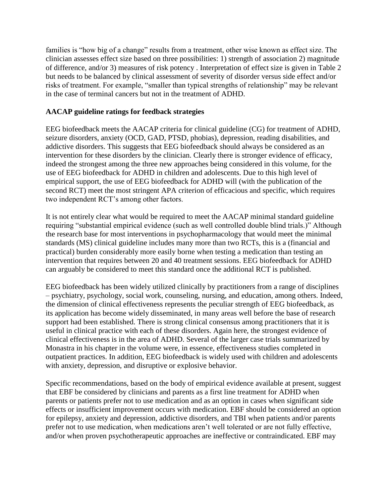families is "how big of a change" results from a treatment, other wise known as effect size. The clinician assesses effect size based on three possibilities: 1) strength of association 2) magnitude of difference, and/or 3) measures of risk potency . Interpretation of effect size is given in Table 2 but needs to be balanced by clinical assessment of severity of disorder versus side effect and/or risks of treatment. For example, "smaller than typical strengths of relationship" may be relevant in the case of terminal cancers but not in the treatment of ADHD.

### **AACAP guideline ratings for feedback strategies**

EEG biofeedback meets the AACAP criteria for clinical guideline (CG) for treatment of ADHD, seizure disorders, anxiety (OCD, GAD, PTSD, phobias), depression, reading disabilities, and addictive disorders. This suggests that EEG biofeedback should always be considered as an intervention for these disorders by the clinician. Clearly there is stronger evidence of efficacy, indeed the strongest among the three new approaches being considered in this volume, for the use of EEG biofeedback for ADHD in children and adolescents. Due to this high level of empirical support, the use of EEG biofeedback for ADHD will (with the publication of the second RCT) meet the most stringent APA criterion of efficacious and specific, which requires two independent RCT's among other factors.

It is not entirely clear what would be required to meet the AACAP minimal standard guideline requiring "substantial empirical evidence (such as well controlled double blind trials.)" Although the research base for most interventions in psychopharmacology that would meet the minimal standards (MS) clinical guideline includes many more than two RCTs, this is a (financial and practical) burden considerably more easily borne when testing a medication than testing an intervention that requires between 20 and 40 treatment sessions. EEG biofeedback for ADHD can arguably be considered to meet this standard once the additional RCT is published.

EEG biofeedback has been widely utilized clinically by practitioners from a range of disciplines – psychiatry, psychology, social work, counseling, nursing, and education, among others. Indeed, the dimension of clinical effectiveness represents the peculiar strength of EEG biofeedback, as its application has become widely disseminated, in many areas well before the base of research support had been established. There is strong clinical consensus among practitioners that it is useful in clinical practice with each of these disorders. Again here, the strongest evidence of clinical effectiveness is in the area of ADHD. Several of the larger case trials summarized by Monastra in his chapter in the volume were, in essence, effectiveness studies completed in outpatient practices. In addition, EEG biofeedback is widely used with children and adolescents with anxiety, depression, and disruptive or explosive behavior.

Specific recommendations, based on the body of empirical evidence available at present, suggest that EBF be considered by clinicians and parents as a first line treatment for ADHD when parents or patients prefer not to use medication and as an option in cases when significant side effects or insufficient improvement occurs with medication. EBF should be considered an option for epilepsy, anxiety and depression, addictive disorders, and TBI when patients and/or parents prefer not to use medication, when medications aren't well tolerated or are not fully effective, and/or when proven psychotherapeutic approaches are ineffective or contraindicated. EBF may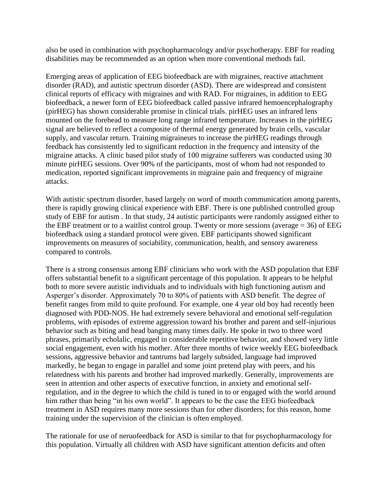also be used in combination with psychopharmacology and/or psychotherapy. EBF for reading disabilities may be recommended as an option when more conventional methods fail.

Emerging areas of application of EEG biofeedback are with migraines, reactive attachment disorder (RAD), and autistic spectrum disorder (ASD). There are widespread and consistent clinical reports of efficacy with migraines and with RAD. For migraines, in addition to EEG biofeedback, a newer form of EEG biofeedback called passive infrared hemoencephalography (pirHEG) has shown considerable promise in clinical trials. pirHEG uses an infrared lens mounted on the forehead to measure long range infrared temperature. Increases in the pirHEG signal are believed to reflect a composite of thermal energy generated by brain cells, vascular supply, and vascular return. Training migraineurs to increase the pirHEG readings through feedback has consistently led to significant reduction in the frequency and intensity of the migraine attacks. A clinic based pilot study of 100 migraine sufferers was conducted using 30 minute pirHEG sessions. Over 90% of the participants, most of whom had not responded to medication, reported significant improvements in migraine pain and frequency of migraine attacks.

With autistic spectrum disorder, based largely on word of mouth communication among parents, there is rapidly growing clinical experience with EBF. There is one published controlled group study of EBF for autism . In that study, 24 autistic participants were randomly assigned either to the EBF treatment or to a waitlist control group. Twenty or more sessions (average  $= 36$ ) of EEG biofeedback using a standard protocol were given. EBF participants showed significant improvements on measures of sociability, communication, health, and sensory awareness compared to controls.

There is a strong consensus among EBF clinicians who work with the ASD population that EBF offers substantial benefit to a significant percentage of this population. It appears to be helpful both to more severe autistic individuals and to individuals with high functioning autism and Asperger's disorder. Approximately 70 to 80% of patients with ASD benefit. The degree of benefit ranges from mild to quite profound. For example, one 4 year old boy had recently been diagnosed with PDD-NOS. He had extremely severe behavioral and emotional self-regulation problems, with episodes of extreme aggression toward his brother and parent and self-injurious behavior such as biting and head banging many times daily. He spoke in two to three word phrases, primarily echolalic, engaged in considerable repetitive behavior, and showed very little social engagement, even with his mother. After three months of twice weekly EEG biofeedback sessions, aggressive behavior and tantrums had largely subsided, language had improved markedly, he began to engage in parallel and some joint pretend play with peers, and his relatedness with his parents and brother had improved markedly. Generally, improvements are seen in attention and other aspects of executive function, in anxiety and emotional selfregulation, and in the degree to which the child is tuned in to or engaged with the world around him rather than being "in his own world". It appears to be the case the EEG biofeedback treatment in ASD requires many more sessions than for other disorders; for this reason, home training under the supervision of the clinician is often employed.

The rationale for use of neruofeedback for ASD is similar to that for psychopharmacology for this population. Virtually all children with ASD have significant attention deficits and often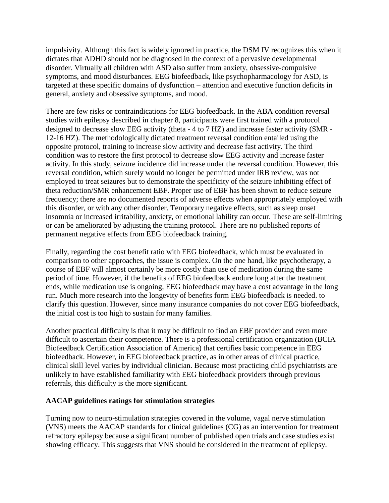impulsivity. Although this fact is widely ignored in practice, the DSM IV recognizes this when it dictates that ADHD should not be diagnosed in the context of a pervasive developmental disorder. Virtually all children with ASD also suffer from anxiety, obsessive-compulsive symptoms, and mood disturbances. EEG biofeedback, like psychopharmacology for ASD, is targeted at these specific domains of dysfunction – attention and executive function deficits in general, anxiety and obsessive symptoms, and mood.

There are few risks or contraindications for EEG biofeedback. In the ABA condition reversal studies with epilepsy described in chapter 8, participants were first trained with a protocol designed to decrease slow EEG activity (theta - 4 to 7 HZ) and increase faster activity (SMR - 12-16 HZ). The methodologically dictated treatment reversal condition entailed using the opposite protocol, training to increase slow activity and decrease fast activity. The third condition was to restore the first protocol to decrease slow EEG activity and increase faster activity. In this study, seizure incidence did increase under the reversal condition. However, this reversal condition, which surely would no longer be permitted under IRB review, was not employed to treat seizures but to demonstrate the specificity of the seizure inhibiting effect of theta reduction/SMR enhancement EBF. Proper use of EBF has been shown to reduce seizure frequency; there are no documented reports of adverse effects when appropriately employed with this disorder, or with any other disorder. Temporary negative effects, such as sleep onset insomnia or increased irritability, anxiety, or emotional lability can occur. These are self-limiting or can be ameliorated by adjusting the training protocol. There are no published reports of permanent negative effects from EEG biofeedback training.

Finally, regarding the cost benefit ratio with EEG biofeedback, which must be evaluated in comparison to other approaches, the issue is complex. On the one hand, like psychotherapy, a course of EBF will almost certainly be more costly than use of medication during the same period of time. However, if the benefits of EEG biofeedback endure long after the treatment ends, while medication use is ongoing, EEG biofeedback may have a cost advantage in the long run. Much more research into the longevity of benefits form EEG biofeedback is needed. to clarify this question. However, since many insurance companies do not cover EEG biofeedback, the initial cost is too high to sustain for many families.

Another practical difficulty is that it may be difficult to find an EBF provider and even more difficult to ascertain their competence. There is a professional certification organization (BCIA – Biofeedback Certification Association of America) that certifies basic competence in EEG biofeedback. However, in EEG biofeedback practice, as in other areas of clinical practice, clinical skill level varies by individual clinician. Because most practicing child psychiatrists are unlikely to have established familiarity with EEG biofeedback providers through previous referrals, this difficulty is the more significant.

#### **AACAP guidelines ratings for stimulation strategies**

Turning now to neuro-stimulation strategies covered in the volume, vagal nerve stimulation (VNS) meets the AACAP standards for clinical guidelines (CG) as an intervention for treatment refractory epilepsy because a significant number of published open trials and case studies exist showing efficacy. This suggests that VNS should be considered in the treatment of epilepsy.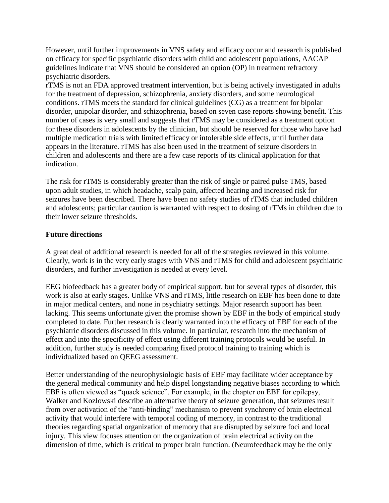However, until further improvements in VNS safety and efficacy occur and research is published on efficacy for specific psychiatric disorders with child and adolescent populations, AACAP guidelines indicate that VNS should be considered an option (OP) in treatment refractory psychiatric disorders.

rTMS is not an FDA approved treatment intervention, but is being actively investigated in adults for the treatment of depression, schizophrenia, anxiety disorders, and some neurological conditions. rTMS meets the standard for clinical guidelines (CG) as a treatment for bipolar disorder, unipolar disorder, and schizophrenia, based on seven case reports showing benefit. This number of cases is very small and suggests that rTMS may be considered as a treatment option for these disorders in adolescents by the clinician, but should be reserved for those who have had multiple medication trials with limited efficacy or intolerable side effects, until further data appears in the literature. rTMS has also been used in the treatment of seizure disorders in children and adolescents and there are a few case reports of its clinical application for that indication.

The risk for rTMS is considerably greater than the risk of single or paired pulse TMS, based upon adult studies, in which headache, scalp pain, affected hearing and increased risk for seizures have been described. There have been no safety studies of rTMS that included children and adolescents; particular caution is warranted with respect to dosing of rTMs in children due to their lower seizure thresholds.

## **Future directions**

A great deal of additional research is needed for all of the strategies reviewed in this volume. Clearly, work is in the very early stages with VNS and rTMS for child and adolescent psychiatric disorders, and further investigation is needed at every level.

EEG biofeedback has a greater body of empirical support, but for several types of disorder, this work is also at early stages. Unlike VNS and rTMS, little research on EBF has been done to date in major medical centers, and none in psychiatry settings. Major research support has been lacking. This seems unfortunate given the promise shown by EBF in the body of empirical study completed to date. Further research is clearly warranted into the efficacy of EBF for each of the psychiatric disorders discussed in this volume. In particular, research into the mechanism of effect and into the specificity of effect using different training protocols would be useful. In addition, further study is needed comparing fixed protocol training to training which is individualized based on QEEG assessment.

Better understanding of the neurophysiologic basis of EBF may facilitate wider acceptance by the general medical community and help dispel longstanding negative biases according to which EBF is often viewed as "quack science". For example, in the chapter on EBF for epilepsy, Walker and Kozlowski describe an alternative theory of seizure generation, that seizures result from over activation of the "anti-binding" mechanism to prevent synchrony of brain electrical activity that would interfere with temporal coding of memory, in contrast to the traditional theories regarding spatial organization of memory that are disrupted by seizure foci and local injury. This view focuses attention on the organization of brain electrical activity on the dimension of time, which is critical to proper brain function. (Neurofeedback may be the only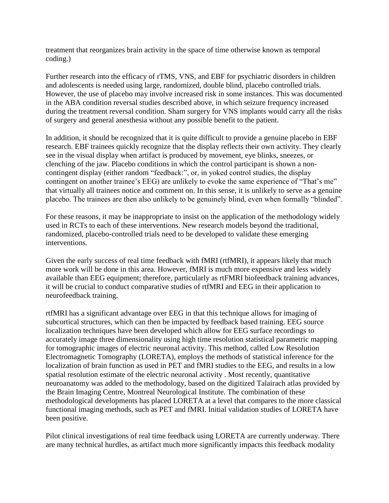treatment that reorganizes brain activity in the space of time otherwise known as temporal coding.)

Further research into the efficacy of rTMS, VNS, and EBF for psychiatric disorders in children and adolescents is needed using large, randomized, double blind, placebo controlled trials. However, the use of placebo may involve increased risk in some instances. This was documented in the ABA condition reversal studies described above, in which seizure frequency increased during the treatment reversal condition. Sham surgery for VNS implants would carry all the risks of surgery and general anesthesia without any possible benefit to the patient.

In addition, it should be recognized that it is quite difficult to provide a genuine placebo in EBF research. EBF trainees quickly recognize that the display reflects their own activity. They clearly see in the visual display when artifact is produced by movement, eye blinks, sneezes, or clenching of the jaw. Placebo conditions in which the control participant is shown a noncontingent display (either random "feedback:", or, in yoked control studies, the display contingent on another trainee's EEG) are unlikely to evoke the same experience of "That's me" that virtually all trainees notice and comment on. In this sense, it is unlikely to serve as a genuine placebo. The trainees are then also unlikely to be genuinely blind, even when formally "blinded".

For these reasons, it may be inappropriate to insist on the application of the methodology widely used in RCTs to each of these interventions. New research models beyond the traditional, randomized, placebo-controlled trials need to be developed to validate these emerging interventions.

Given the early success of real time feedback with fMRI (rtfMRI), it appears likely that much more work will be done in this area. However, fMRI is much more expensive and less widely available than EEG equipment; therefore, particularly as rtFMRI biofeedback training advances, it will be crucial to conduct comparative studies of rtfMRI and EEG in their application to neurofeedback training.

rtfMRI has a significant advantage over EEG in that this technique allows for imaging of subcortical structures, which can then be impacted by feedback based training. EEG source localization techniques have been developed which allow for EEG surface recordings to accurately image three dimensionality using high time resolution statistical parametric mapping for tomographic images of electric neuronal activity. This method, called Low Resolution Electromagnetic Tomography (LORETA), employs the methods of statistical inference for the localization of brain function as used in PET and fMRI studies to the EEG, and results in a low spatial resolution estimate of the electric neuronal activity . Most recently, quantitative neuroanatomy was added to the methodology, based on the digitized Talairach atlas provided by the Brain Imaging Centre, Montreal Neurological Institute. The combination of these methodological developments has placed LORETA at a level that compares to the more classical functional imaging methods, such as PET and fMRI. Initial validation studies of LORETA have been positive.

Pilot clinical investigations of real time feedback using LORETA are currently underway. There are many technical hurdles, as artifact much more significantly impacts this feedback modality